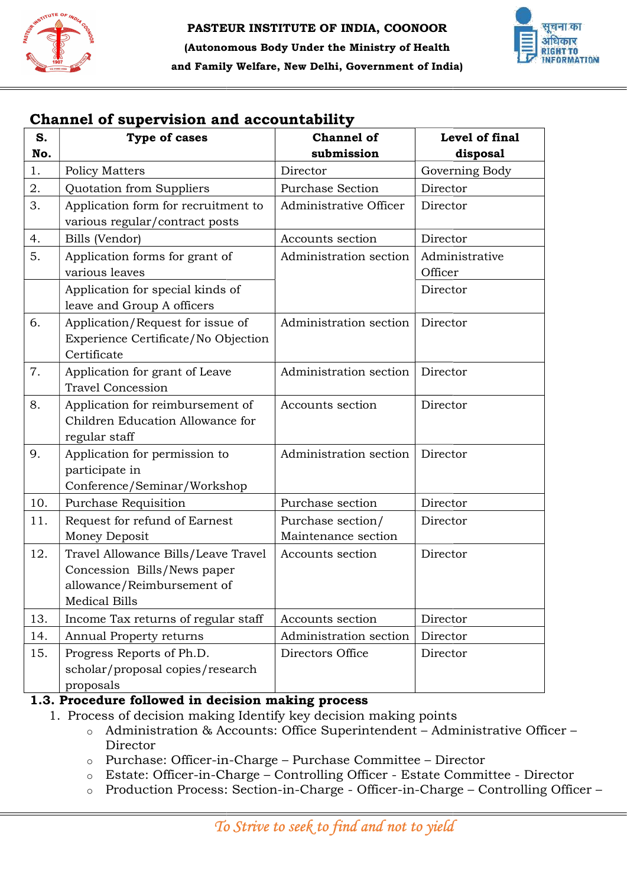



## Channel of supervision and accountability

| <b>Type of cases</b><br><b>Policy Matters</b><br>Quotation from Suppliers<br>Application form for recruitment to<br>various regular/contract posts<br>Bills (Vendor)<br>Application forms for grant of<br>various leaves<br>Application for special kinds of<br>leave and Group A officers<br>Application/Request for issue of<br>Experience Certificate/No Objection<br>Certificate<br>Application for grant of Leave<br><b>Travel Concession</b> | <b>Channel of</b><br>submission<br>Director<br><b>Purchase Section</b><br>Administrative Officer<br>Accounts section<br>Administration section<br>Administration section | Level of final<br>disposal<br>Governing Body<br>Director<br>Director<br>Director<br>Administrative<br>Officer<br>Director<br>Director                                                                                                                                                                                                                                                                                                                                    |
|----------------------------------------------------------------------------------------------------------------------------------------------------------------------------------------------------------------------------------------------------------------------------------------------------------------------------------------------------------------------------------------------------------------------------------------------------|--------------------------------------------------------------------------------------------------------------------------------------------------------------------------|--------------------------------------------------------------------------------------------------------------------------------------------------------------------------------------------------------------------------------------------------------------------------------------------------------------------------------------------------------------------------------------------------------------------------------------------------------------------------|
|                                                                                                                                                                                                                                                                                                                                                                                                                                                    |                                                                                                                                                                          |                                                                                                                                                                                                                                                                                                                                                                                                                                                                          |
|                                                                                                                                                                                                                                                                                                                                                                                                                                                    |                                                                                                                                                                          |                                                                                                                                                                                                                                                                                                                                                                                                                                                                          |
|                                                                                                                                                                                                                                                                                                                                                                                                                                                    |                                                                                                                                                                          |                                                                                                                                                                                                                                                                                                                                                                                                                                                                          |
|                                                                                                                                                                                                                                                                                                                                                                                                                                                    |                                                                                                                                                                          |                                                                                                                                                                                                                                                                                                                                                                                                                                                                          |
|                                                                                                                                                                                                                                                                                                                                                                                                                                                    |                                                                                                                                                                          |                                                                                                                                                                                                                                                                                                                                                                                                                                                                          |
|                                                                                                                                                                                                                                                                                                                                                                                                                                                    |                                                                                                                                                                          |                                                                                                                                                                                                                                                                                                                                                                                                                                                                          |
|                                                                                                                                                                                                                                                                                                                                                                                                                                                    |                                                                                                                                                                          |                                                                                                                                                                                                                                                                                                                                                                                                                                                                          |
|                                                                                                                                                                                                                                                                                                                                                                                                                                                    |                                                                                                                                                                          |                                                                                                                                                                                                                                                                                                                                                                                                                                                                          |
|                                                                                                                                                                                                                                                                                                                                                                                                                                                    | Administration section                                                                                                                                                   | Director                                                                                                                                                                                                                                                                                                                                                                                                                                                                 |
| Application for reimbursement of<br>Children Education Allowance for<br>regular staff                                                                                                                                                                                                                                                                                                                                                              | Accounts section                                                                                                                                                         | Director                                                                                                                                                                                                                                                                                                                                                                                                                                                                 |
| Application for permission to<br>participate in<br>Conference/Seminar/Workshop                                                                                                                                                                                                                                                                                                                                                                     | Administration section                                                                                                                                                   | Director                                                                                                                                                                                                                                                                                                                                                                                                                                                                 |
| Purchase Requisition                                                                                                                                                                                                                                                                                                                                                                                                                               | Purchase section                                                                                                                                                         | Director                                                                                                                                                                                                                                                                                                                                                                                                                                                                 |
| Request for refund of Earnest<br>Money Deposit                                                                                                                                                                                                                                                                                                                                                                                                     | Purchase section/<br>Maintenance section                                                                                                                                 | Director                                                                                                                                                                                                                                                                                                                                                                                                                                                                 |
| Travel Allowance Bills/Leave Travel<br>Concession Bills/News paper<br>allowance/Reimbursement of<br><b>Medical Bills</b>                                                                                                                                                                                                                                                                                                                           | Accounts section                                                                                                                                                         | Director                                                                                                                                                                                                                                                                                                                                                                                                                                                                 |
| Income Tax returns of regular staff                                                                                                                                                                                                                                                                                                                                                                                                                | Accounts section                                                                                                                                                         | Director                                                                                                                                                                                                                                                                                                                                                                                                                                                                 |
| Annual Property returns                                                                                                                                                                                                                                                                                                                                                                                                                            | Administration section                                                                                                                                                   | Director                                                                                                                                                                                                                                                                                                                                                                                                                                                                 |
| Progress Reports of Ph.D.<br>scholar/proposal copies/research<br>proposals                                                                                                                                                                                                                                                                                                                                                                         | Directors Office                                                                                                                                                         | Director                                                                                                                                                                                                                                                                                                                                                                                                                                                                 |
| Director                                                                                                                                                                                                                                                                                                                                                                                                                                           |                                                                                                                                                                          |                                                                                                                                                                                                                                                                                                                                                                                                                                                                          |
|                                                                                                                                                                                                                                                                                                                                                                                                                                                    |                                                                                                                                                                          | 1.3. Procedure followed in decision making process<br>1. Process of decision making Identify key decision making points<br>Administration & Accounts: Office Superintendent - Administrative Office<br>Purchase: Officer-in-Charge – Purchase Committee – Director<br>Estate: Officer-in-Charge - Controlling Officer - Estate Committee - Dire<br>Production Process: Section-in-Charge - Officer-in-Charge - Controlling<br>To Strive to seek to find and not to yield |

## 1.3. Procedure followed in decision making process

- 1. Process of decision making Identify key decision making points
	- o Administration & Accounts: Office Superintendent Administrative Officer -Director
	- o Purchase: Officer-in-Charge Purchase Committee Director
	- o Estate: Officer-in-Charge Controlling Officer Estate Committee Director
	- o Production Process: Section-in-Charge Officer-in-Charge Controlling Officer –